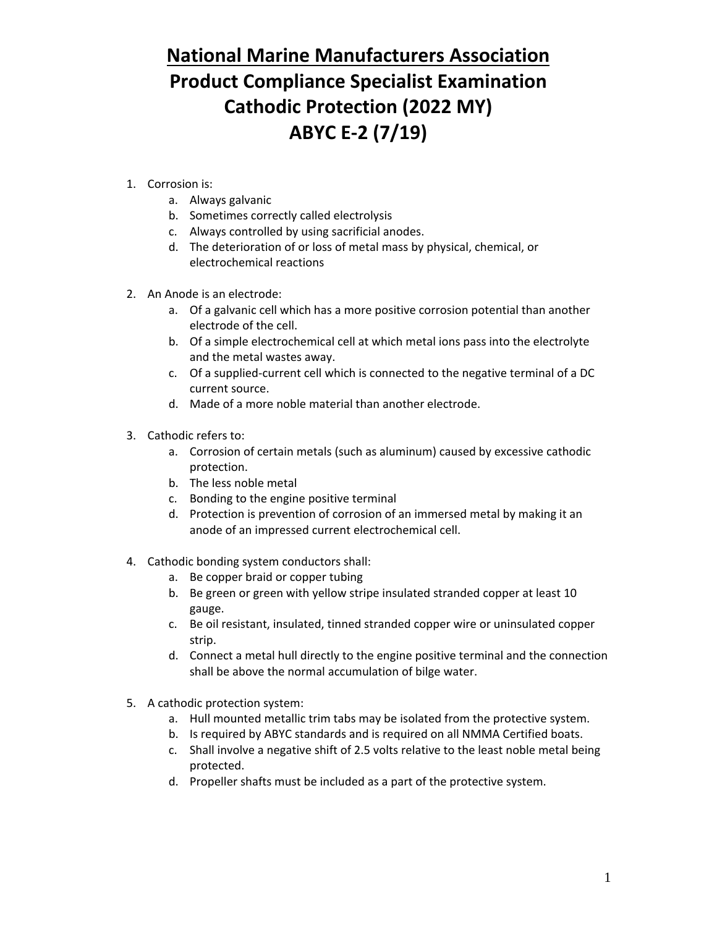## **National Marine Manufacturers Association Product Compliance Specialist Examination Cathodic Protection (2022 MY) ABYC E-2 (7/19)**

- 1. Corrosion is:
	- a. Always galvanic
	- b. Sometimes correctly called electrolysis
	- c. Always controlled by using sacrificial anodes.
	- d. The deterioration of or loss of metal mass by physical, chemical, or electrochemical reactions
- 2. An Anode is an electrode:
	- a. Of a galvanic cell which has a more positive corrosion potential than another electrode of the cell.
	- b. Of a simple electrochemical cell at which metal ions pass into the electrolyte and the metal wastes away.
	- c. Of a supplied-current cell which is connected to the negative terminal of a DC current source.
	- d. Made of a more noble material than another electrode.
- 3. Cathodic refers to:
	- a. Corrosion of certain metals (such as aluminum) caused by excessive cathodic protection.
	- b. The less noble metal
	- c. Bonding to the engine positive terminal
	- d. Protection is prevention of corrosion of an immersed metal by making it an anode of an impressed current electrochemical cell.
- 4. Cathodic bonding system conductors shall:
	- a. Be copper braid or copper tubing
	- b. Be green or green with yellow stripe insulated stranded copper at least 10 gauge.
	- c. Be oil resistant, insulated, tinned stranded copper wire or uninsulated copper strip.
	- d. Connect a metal hull directly to the engine positive terminal and the connection shall be above the normal accumulation of bilge water.
- 5. A cathodic protection system:
	- a. Hull mounted metallic trim tabs may be isolated from the protective system.
	- b. Is required by ABYC standards and is required on all NMMA Certified boats.
	- c. Shall involve a negative shift of 2.5 volts relative to the least noble metal being protected.
	- d. Propeller shafts must be included as a part of the protective system.